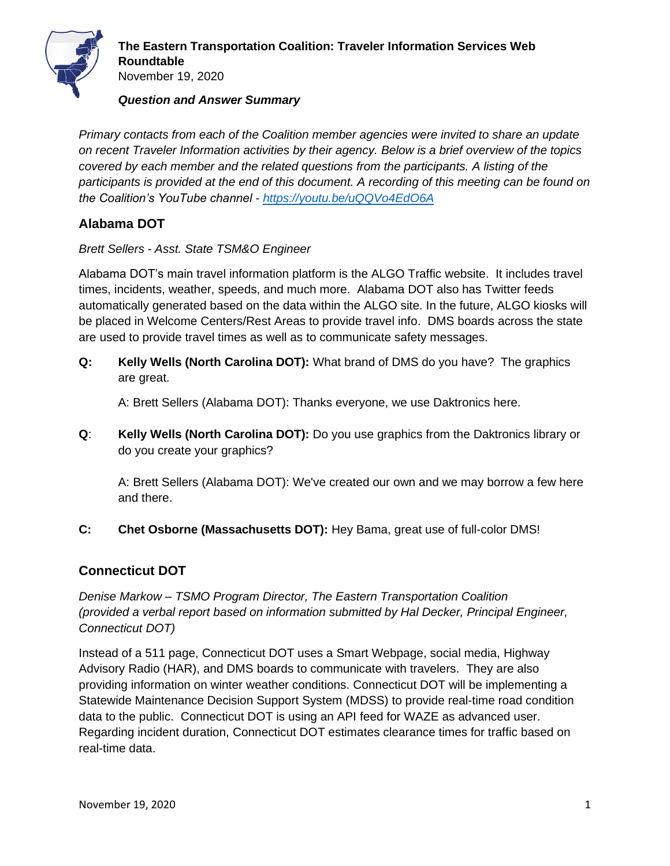

*Primary contacts from each of the Coalition member agencies were invited to share an update on recent Traveler Information activities by their agency. Below is a brief overview of the topics covered by each member and the related questions from the participants. A listing of the participants is provided at the end of this document. A recording of this meeting can be found on the Coalition's YouTube channel - <https://youtu.be/uQQVo4EdO6A>*

# **Alabama DOT**

*Brett Sellers - Asst. State TSM&O Engineer*

Alabama DOT's main travel information platform is the ALGO Traffic website. It includes travel times, incidents, weather, speeds, and much more. Alabama DOT also has Twitter feeds automatically generated based on the data within the ALGO site. In the future, ALGO kiosks will be placed in Welcome Centers/Rest Areas to provide travel info. DMS boards across the state are used to provide travel times as well as to communicate safety messages.

**Q: Kelly Wells (North Carolina DOT):** What brand of DMS do you have? The graphics are great.

A: Brett Sellers (Alabama DOT): Thanks everyone, we use Daktronics here.

**Q**: **Kelly Wells (North Carolina DOT):** Do you use graphics from the Daktronics library or do you create your graphics?

A: Brett Sellers (Alabama DOT): We've created our own and we may borrow a few here and there.

**C: Chet Osborne (Massachusetts DOT):** Hey Bama, great use of full-color DMS!

# **Connecticut DOT**

*Denise Markow – TSMO Program Director, The Eastern Transportation Coalition (provided a verbal report based on information submitted by Hal Decker, Principal Engineer, Connecticut DOT)*

Instead of a 511 page, Connecticut DOT uses a Smart Webpage, social media, Highway Advisory Radio (HAR), and DMS boards to communicate with travelers. They are also providing information on winter weather conditions. Connecticut DOT will be implementing a Statewide Maintenance Decision Support System (MDSS) to provide real-time road condition data to the public. Connecticut DOT is using an API feed for WAZE as advanced user. Regarding incident duration, Connecticut DOT estimates clearance times for traffic based on real-time data.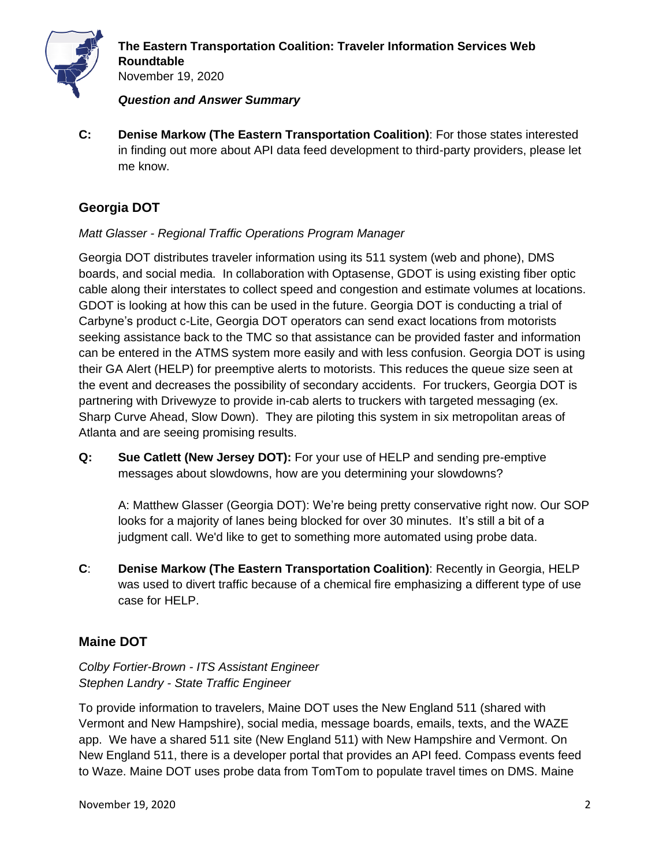

November 19, 2020

#### *Question and Answer Summary*

**C: Denise Markow (The Eastern Transportation Coalition)**: For those states interested in finding out more about API data feed development to third-party providers, please let me know.

# **Georgia DOT**

## *Matt Glasser - Regional Traffic Operations Program Manager*

Georgia DOT distributes traveler information using its 511 system (web and phone), DMS boards, and social media. In collaboration with Optasense, GDOT is using existing fiber optic cable along their interstates to collect speed and congestion and estimate volumes at locations. GDOT is looking at how this can be used in the future. Georgia DOT is conducting a trial of Carbyne's product c-Lite, Georgia DOT operators can send exact locations from motorists seeking assistance back to the TMC so that assistance can be provided faster and information can be entered in the ATMS system more easily and with less confusion. Georgia DOT is using their GA Alert (HELP) for preemptive alerts to motorists. This reduces the queue size seen at the event and decreases the possibility of secondary accidents. For truckers, Georgia DOT is partnering with Drivewyze to provide in-cab alerts to truckers with targeted messaging (ex. Sharp Curve Ahead, Slow Down). They are piloting this system in six metropolitan areas of Atlanta and are seeing promising results.

**Q: Sue Catlett (New Jersey DOT):** For your use of HELP and sending pre-emptive messages about slowdowns, how are you determining your slowdowns?

A: Matthew Glasser (Georgia DOT): We're being pretty conservative right now. Our SOP looks for a majority of lanes being blocked for over 30 minutes. It's still a bit of a judgment call. We'd like to get to something more automated using probe data.

**C**: **Denise Markow (The Eastern Transportation Coalition)**: Recently in Georgia, HELP was used to divert traffic because of a chemical fire emphasizing a different type of use case for HELP.

# **Maine DOT**

## *Colby Fortier-Brown - ITS Assistant Engineer Stephen Landry - State Traffic Engineer*

To provide information to travelers, Maine DOT uses the New England 511 (shared with Vermont and New Hampshire), social media, message boards, emails, texts, and the WAZE app. We have a shared 511 site (New England 511) with New Hampshire and Vermont. On New England 511, there is a developer portal that provides an API feed. Compass events feed to Waze. Maine DOT uses probe data from TomTom to populate travel times on DMS. Maine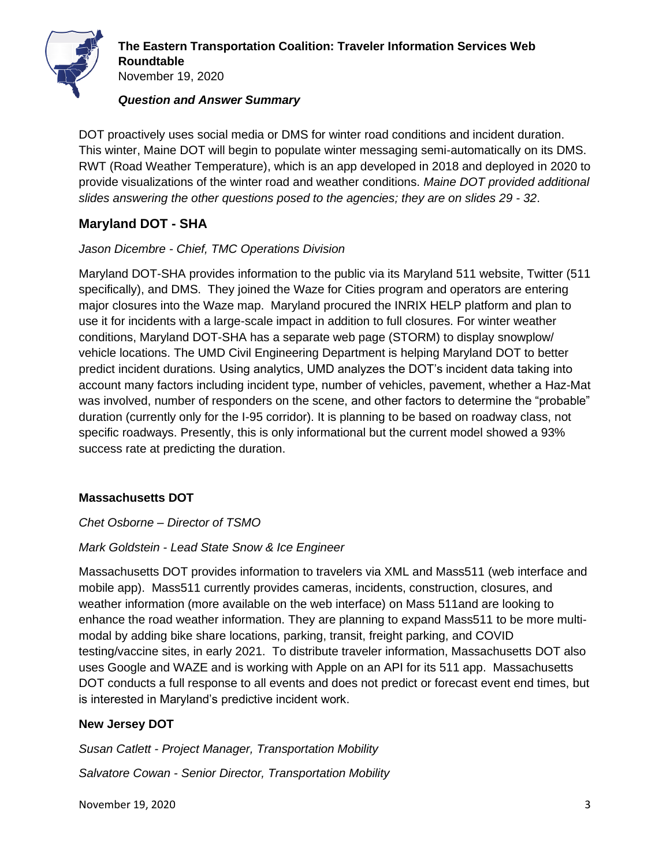

DOT proactively uses social media or DMS for winter road conditions and incident duration. This winter, Maine DOT will begin to populate winter messaging semi-automatically on its DMS. RWT (Road Weather Temperature), which is an app developed in 2018 and deployed in 2020 to provide visualizations of the winter road and weather conditions. *Maine DOT provided additional slides answering the other questions posed to the agencies; they are on slides 29 - 32*.

## **Maryland DOT - SHA**

#### *Jason Dicembre - Chief, TMC Operations Division*

Maryland DOT-SHA provides information to the public via its Maryland 511 website, Twitter (511 specifically), and DMS. They joined the Waze for Cities program and operators are entering major closures into the Waze map. Maryland procured the INRIX HELP platform and plan to use it for incidents with a large-scale impact in addition to full closures. For winter weather conditions, Maryland DOT-SHA has a separate web page (STORM) to display snowplow/ vehicle locations. The UMD Civil Engineering Department is helping Maryland DOT to better predict incident durations. Using analytics, UMD analyzes the DOT's incident data taking into account many factors including incident type, number of vehicles, pavement, whether a Haz-Mat was involved, number of responders on the scene, and other factors to determine the "probable" duration (currently only for the I-95 corridor). It is planning to be based on roadway class, not specific roadways. Presently, this is only informational but the current model showed a 93% success rate at predicting the duration.

#### **Massachusetts DOT**

#### *Chet Osborne – Director of TSMO*

## *Mark Goldstein - Lead State Snow & Ice Engineer*

Massachusetts DOT provides information to travelers via XML and Mass511 (web interface and mobile app). Mass511 currently provides cameras, incidents, construction, closures, and weather information (more available on the web interface) on Mass 511and are looking to enhance the road weather information. They are planning to expand Mass511 to be more multimodal by adding bike share locations, parking, transit, freight parking, and COVID testing/vaccine sites, in early 2021. To distribute traveler information, Massachusetts DOT also uses Google and WAZE and is working with Apple on an API for its 511 app. Massachusetts DOT conducts a full response to all events and does not predict or forecast event end times, but is interested in Maryland's predictive incident work.

#### **New Jersey DOT**

*Susan Catlett - Project Manager, Transportation Mobility*

*Salvatore Cowan - Senior Director, Transportation Mobility*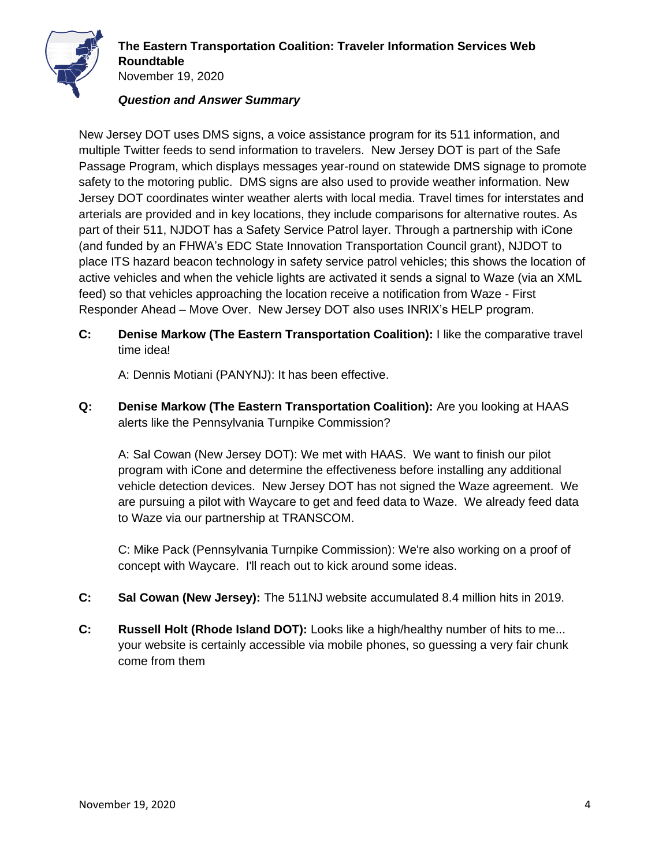

New Jersey DOT uses DMS signs, a voice assistance program for its 511 information, and multiple Twitter feeds to send information to travelers. New Jersey DOT is part of the Safe Passage Program, which displays messages year-round on statewide DMS signage to promote safety to the motoring public. DMS signs are also used to provide weather information. New Jersey DOT coordinates winter weather alerts with local media. Travel times for interstates and arterials are provided and in key locations, they include comparisons for alternative routes. As part of their 511, NJDOT has a Safety Service Patrol layer. Through a partnership with iCone (and funded by an FHWA's EDC State Innovation Transportation Council grant), NJDOT to place ITS hazard beacon technology in safety service patrol vehicles; this shows the location of active vehicles and when the vehicle lights are activated it sends a signal to Waze (via an XML feed) so that vehicles approaching the location receive a notification from Waze - First Responder Ahead – Move Over. New Jersey DOT also uses INRIX's HELP program.

**C: Denise Markow (The Eastern Transportation Coalition):** I like the comparative travel time idea!

A: Dennis Motiani (PANYNJ): It has been effective.

**Q: Denise Markow (The Eastern Transportation Coalition):** Are you looking at HAAS alerts like the Pennsylvania Turnpike Commission?

A: Sal Cowan (New Jersey DOT): We met with HAAS. We want to finish our pilot program with iCone and determine the effectiveness before installing any additional vehicle detection devices. New Jersey DOT has not signed the Waze agreement. We are pursuing a pilot with Waycare to get and feed data to Waze. We already feed data to Waze via our partnership at TRANSCOM.

C: Mike Pack (Pennsylvania Turnpike Commission): We're also working on a proof of concept with Waycare. I'll reach out to kick around some ideas.

- **C: Sal Cowan (New Jersey):** The 511NJ website accumulated 8.4 million hits in 2019.
- **C: Russell Holt (Rhode Island DOT):** Looks like a high/healthy number of hits to me... your website is certainly accessible via mobile phones, so guessing a very fair chunk come from them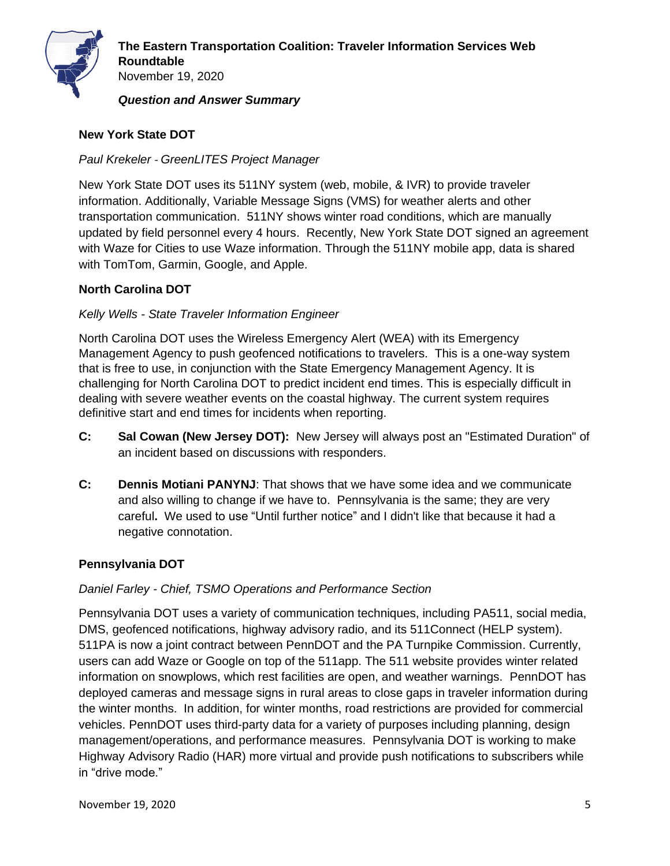

# **New York State DOT**

*Paul Krekeler* - *GreenLITES Project Manager*

New York State DOT uses its 511NY system (web, mobile, & IVR) to provide traveler information. Additionally, Variable Message Signs (VMS) for weather alerts and other transportation communication. 511NY shows winter road conditions, which are manually updated by field personnel every 4 hours. Recently, New York State DOT signed an agreement with Waze for Cities to use Waze information. Through the 511NY mobile app, data is shared with TomTom, Garmin, Google, and Apple.

# **North Carolina DOT**

*Kelly Wells - State Traveler Information Engineer*

North Carolina DOT uses the Wireless Emergency Alert (WEA) with its Emergency Management Agency to push geofenced notifications to travelers. This is a one-way system that is free to use, in conjunction with the State Emergency Management Agency. It is challenging for North Carolina DOT to predict incident end times. This is especially difficult in dealing with severe weather events on the coastal highway. The current system requires definitive start and end times for incidents when reporting.

- **C: Sal Cowan (New Jersey DOT):** New Jersey will always post an "Estimated Duration" of an incident based on discussions with responders.
- **C: Dennis Motiani PANYNJ**: That shows that we have some idea and we communicate and also willing to change if we have to. Pennsylvania is the same; they are very careful**.** We used to use "Until further notice" and I didn't like that because it had a negative connotation.

# **Pennsylvania DOT**

# *Daniel Farley - Chief, TSMO Operations and Performance Section*

Pennsylvania DOT uses a variety of communication techniques, including PA511, social media, DMS, geofenced notifications, highway advisory radio, and its 511Connect (HELP system). 511PA is now a joint contract between PennDOT and the PA Turnpike Commission. Currently, users can add Waze or Google on top of the 511app. The 511 website provides winter related information on snowplows, which rest facilities are open, and weather warnings. PennDOT has deployed cameras and message signs in rural areas to close gaps in traveler information during the winter months. In addition, for winter months, road restrictions are provided for commercial vehicles. PennDOT uses third-party data for a variety of purposes including planning, design management/operations, and performance measures. Pennsylvania DOT is working to make Highway Advisory Radio (HAR) more virtual and provide push notifications to subscribers while in "drive mode."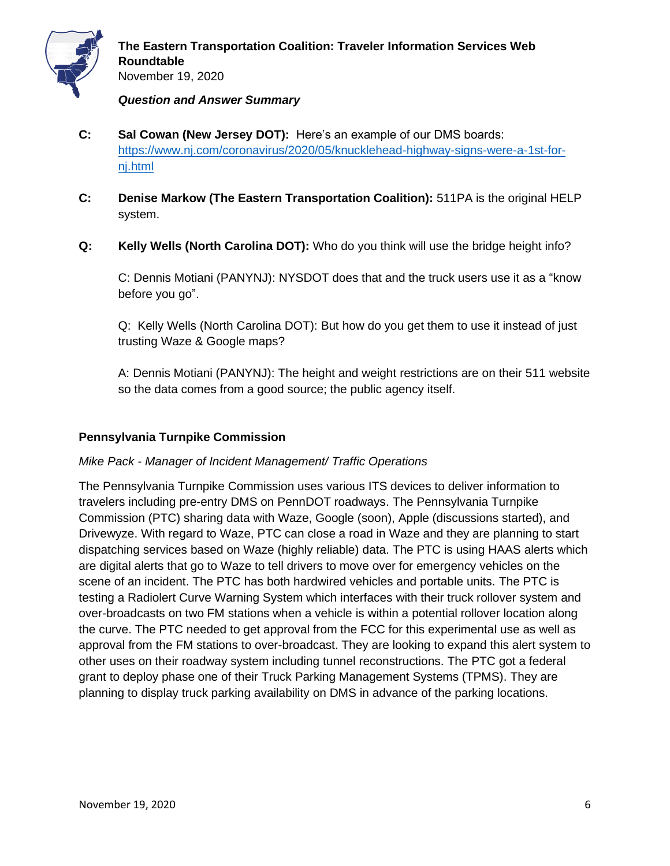

- **C: Sal Cowan (New Jersey DOT):** Here's an example of our DMS boards: [https://www.nj.com/coronavirus/2020/05/knucklehead-highway-signs-were-a-1st-for](https://www.nj.com/coronavirus/2020/05/knucklehead-highway-signs-were-a-1st-for-nj.html)[nj.html](https://www.nj.com/coronavirus/2020/05/knucklehead-highway-signs-were-a-1st-for-nj.html)
- **C: Denise Markow (The Eastern Transportation Coalition):** 511PA is the original HELP system.
- **Q: Kelly Wells (North Carolina DOT):** Who do you think will use the bridge height info?

C: Dennis Motiani (PANYNJ): NYSDOT does that and the truck users use it as a "know before you go".

Q: Kelly Wells (North Carolina DOT): But how do you get them to use it instead of just trusting Waze & Google maps?

A: Dennis Motiani (PANYNJ): The height and weight restrictions are on their 511 website so the data comes from a good source; the public agency itself.

## **Pennsylvania Turnpike Commission**

## *Mike Pack - Manager of Incident Management/ Traffic Operations*

The Pennsylvania Turnpike Commission uses various ITS devices to deliver information to travelers including pre-entry DMS on PennDOT roadways. The Pennsylvania Turnpike Commission (PTC) sharing data with Waze, Google (soon), Apple (discussions started), and Drivewyze. With regard to Waze, PTC can close a road in Waze and they are planning to start dispatching services based on Waze (highly reliable) data. The PTC is using HAAS alerts which are digital alerts that go to Waze to tell drivers to move over for emergency vehicles on the scene of an incident. The PTC has both hardwired vehicles and portable units. The PTC is testing a Radiolert Curve Warning System which interfaces with their truck rollover system and over-broadcasts on two FM stations when a vehicle is within a potential rollover location along the curve. The PTC needed to get approval from the FCC for this experimental use as well as approval from the FM stations to over-broadcast. They are looking to expand this alert system to other uses on their roadway system including tunnel reconstructions. The PTC got a federal grant to deploy phase one of their Truck Parking Management Systems (TPMS). They are planning to display truck parking availability on DMS in advance of the parking locations.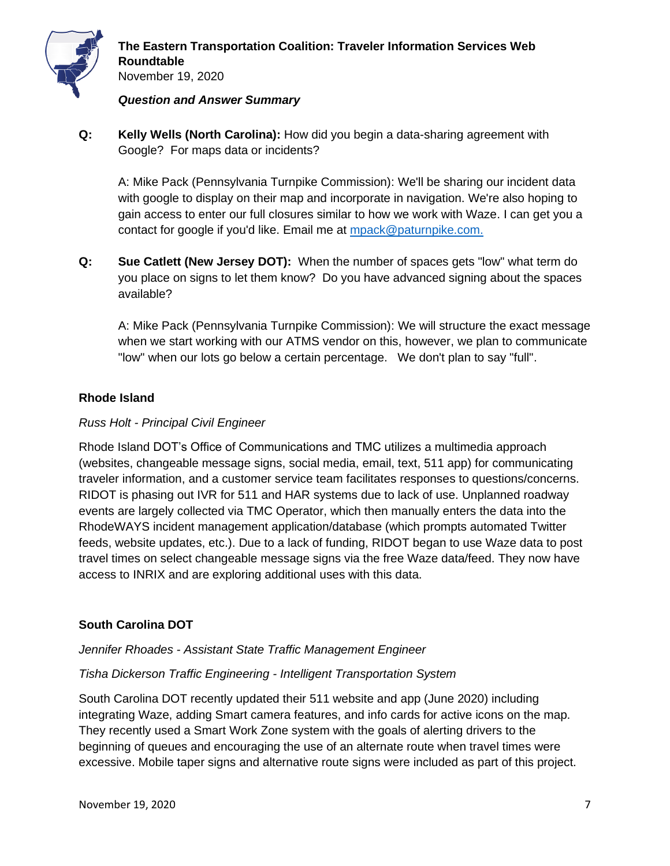

**Q: Kelly Wells (North Carolina):** How did you begin a data-sharing agreement with Google? For maps data or incidents?

A: Mike Pack (Pennsylvania Turnpike Commission): We'll be sharing our incident data with google to display on their map and incorporate in navigation. We're also hoping to gain access to enter our full closures similar to how we work with Waze. I can get you a contact for google if you'd like. Email me at [mpack@paturnpike.com.](mailto:mpack@paturnpike.com)

**Q: Sue Catlett (New Jersey DOT):** When the number of spaces gets "low" what term do you place on signs to let them know? Do you have advanced signing about the spaces available?

A: Mike Pack (Pennsylvania Turnpike Commission): We will structure the exact message when we start working with our ATMS vendor on this, however, we plan to communicate "low" when our lots go below a certain percentage. We don't plan to say "full".

## **Rhode Island**

## *Russ Holt - Principal Civil Engineer*

Rhode Island DOT's Office of Communications and TMC utilizes a multimedia approach (websites, changeable message signs, social media, email, text, 511 app) for communicating traveler information, and a customer service team facilitates responses to questions/concerns. RIDOT is phasing out IVR for 511 and HAR systems due to lack of use. Unplanned roadway events are largely collected via TMC Operator, which then manually enters the data into the RhodeWAYS incident management application/database (which prompts automated Twitter feeds, website updates, etc.). Due to a lack of funding, RIDOT began to use Waze data to post travel times on select changeable message signs via the free Waze data/feed. They now have access to INRIX and are exploring additional uses with this data.

# **South Carolina DOT**

## *Jennifer Rhoades - Assistant State Traffic Management Engineer*

## *Tisha Dickerson Traffic Engineering - Intelligent Transportation System*

South Carolina DOT recently updated their 511 website and app (June 2020) including integrating Waze, adding Smart camera features, and info cards for active icons on the map. They recently used a Smart Work Zone system with the goals of alerting drivers to the beginning of queues and encouraging the use of an alternate route when travel times were excessive. Mobile taper signs and alternative route signs were included as part of this project.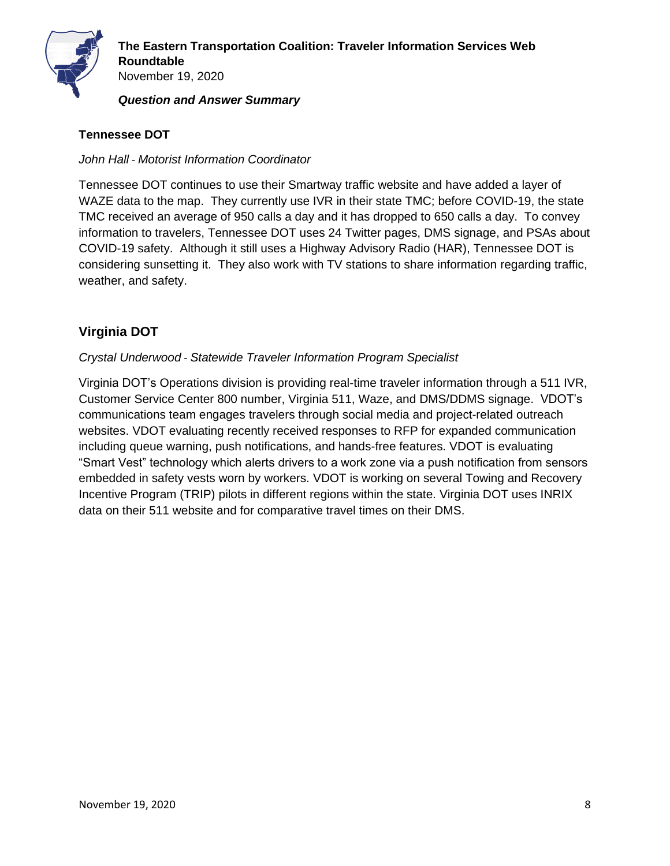

## **Tennessee DOT**

#### *John Hall - Motorist Information Coordinator*

Tennessee DOT continues to use their Smartway traffic website and have added a layer of WAZE data to the map. They currently use IVR in their state TMC; before COVID-19, the state TMC received an average of 950 calls a day and it has dropped to 650 calls a day. To convey information to travelers, Tennessee DOT uses 24 Twitter pages, DMS signage, and PSAs about COVID-19 safety. Although it still uses a Highway Advisory Radio (HAR), Tennessee DOT is considering sunsetting it. They also work with TV stations to share information regarding traffic, weather, and safety.

# **Virginia DOT**

#### *Crystal Underwood* - *Statewide Traveler Information Program Specialist*

Virginia DOT's Operations division is providing real-time traveler information through a 511 IVR, Customer Service Center 800 number, Virginia 511, Waze, and DMS/DDMS signage. VDOT's communications team engages travelers through social media and project-related outreach websites. VDOT evaluating recently received responses to RFP for expanded communication including queue warning, push notifications, and hands-free features. VDOT is evaluating "Smart Vest" technology which alerts drivers to a work zone via a push notification from sensors embedded in safety vests worn by workers. VDOT is working on several Towing and Recovery Incentive Program (TRIP) pilots in different regions within the state. Virginia DOT uses INRIX data on their 511 website and for comparative travel times on their DMS.